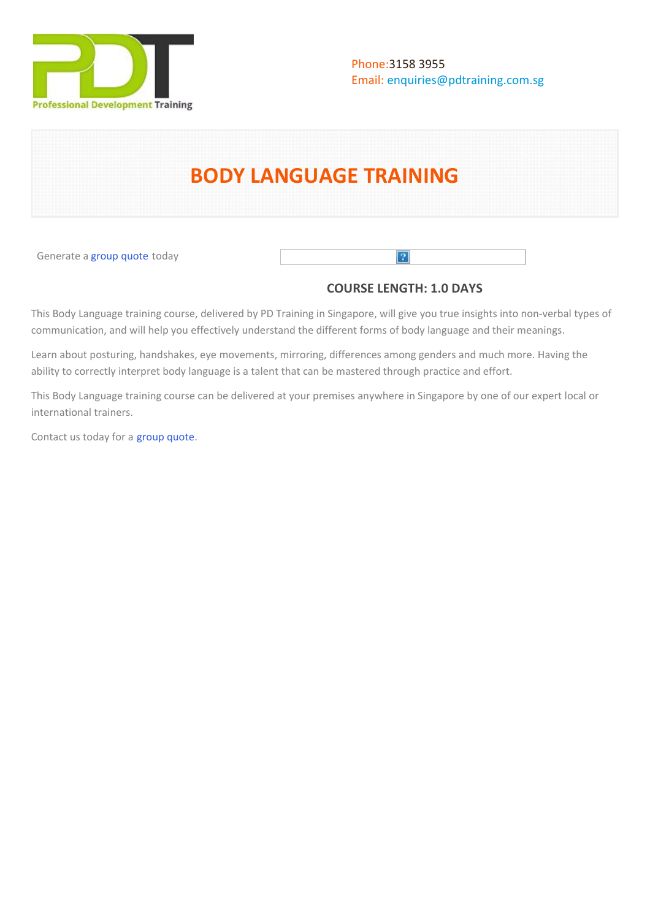

# **BODY LANGUAGE TRAINING**

Generate a [group quote](https://pdtraining.com.sg/bookings/inhouseex1/quoterequestex1a.aspx?cse=PDT0140) today

# **COURSE LENGTH: 1.0 DAYS**

 $\lceil 2 \rceil$ 

This Body Language training course, delivered by PD Training in Singapore, will give you true insights into non-verbal types of communication, and will help you effectively understand the different forms of body language and their meanings.

Learn about posturing, handshakes, eye movements, mirroring, differences among genders and much more. Having the ability to correctly interpret body language is a talent that can be mastered through practice and effort.

This Body Language training course can be delivered at your premises anywhere in Singapore by one of our expert local or international trainers.

Contact us today for a [group quote.](https://PD Training.com.sg/bookings/inhouseex1/quoterequestex1a.aspx)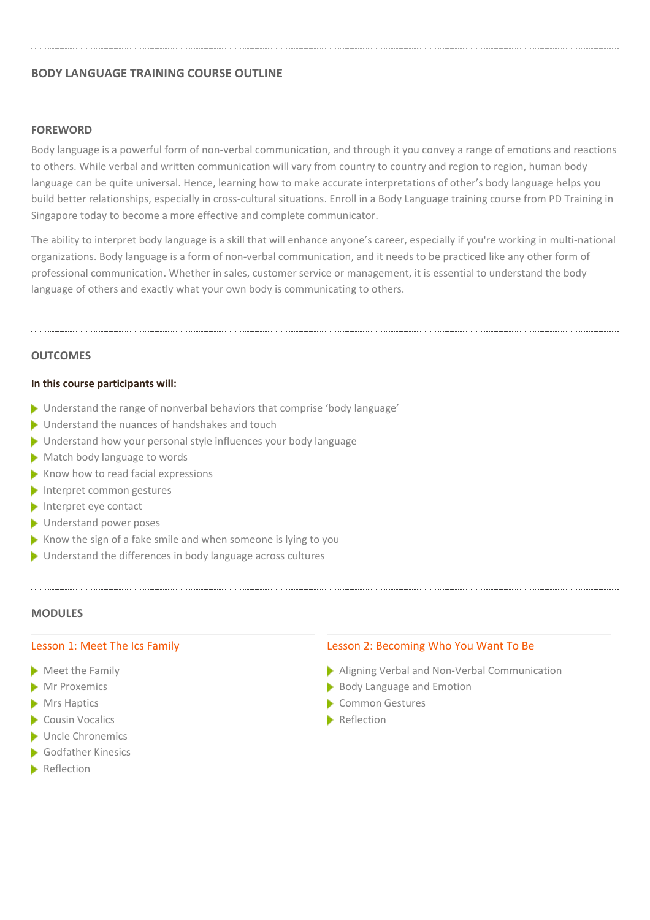# **BODY LANGUAGE TRAINING COURSE OUTLINE**

## **FOREWORD**

Body language is a powerful form of non-verbal communication, and through it you convey a range of emotions and reactions to others. While verbal and written communication will vary from country to country and region to region, human body language can be quite universal. Hence, learning how to make accurate interpretations of other's body language helps you build better relationships, especially in cross-cultural situations. Enroll in a Body Language training course from PD Training in Singapore today to become a more effective and complete communicator.

The ability to interpret body language is a skill that will enhance anyone's career, especially if you're working in multi-national organizations. Body language is a form of non-verbal communication, and it needs to be practiced like any other form of professional communication. Whether in sales, customer service or management, it is essential to understand the body language of others and exactly what your own body is communicating to others.

#### **OUTCOMES**

#### **In this course participants will:**

- ▶ Understand the range of nonverbal behaviors that comprise 'body language'
- **Inderstand the nuances of handshakes and touch**
- Understand how your personal style influences your body language
- Match body language to words
- $\blacktriangleright$  Know how to read facial expressions
- Interpret common gestures
- Interpret eye contact
- **Understand power poses**
- Know the sign of a fake smile and when someone is lying to you
- Understand the differences in body language across cultures

#### **MODULES**

#### Lesson 1: Meet The Ics Family

- Meet the Family
- Mr Proxemics
- **Mrs Haptics**
- Cousin Vocalics
- Uncle Chronemics
- **Godfather Kinesics**
- **Reflection**

#### Lesson 2: Becoming Who You Want To Be

- Aligning Verbal and Non-Verbal Communication
- Body Language and Emotion
- Common Gestures
- **Reflection**